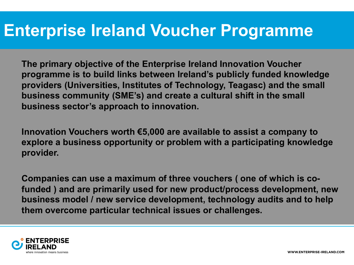# **Enterprise Ireland Voucher Programme**

**The primary objective of the Enterprise Ireland Innovation Voucher programme is to build links between Ireland's publicly funded knowledge providers (Universities, Institutes of Technology, Teagasc) and the small business community (SME's) and create a cultural shift in the small business sector's approach to innovation.**

**Innovation Vouchers worth €5,000 are available to assist a company to explore a business opportunity or problem with a participating knowledge provider.**

**Companies can use a maximum of three vouchers ( one of which is cofunded ) and are primarily used for new product/process development, new business model / new service development, technology audits and to help them overcome particular technical issues or challenges.**

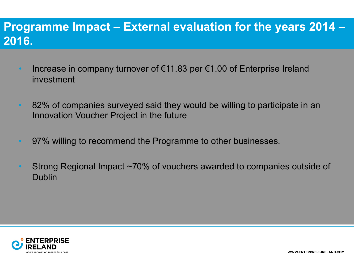### **Programme Impact – External evaluation for the years 2014 – 2016.**

- Increase in company turnover of  $\epsilon$ 11.83 per  $\epsilon$ 1.00 of Enterprise Ireland investment
- 82% of companies surveyed said they would be willing to participate in an Innovation Voucher Project in the future
- 97% willing to recommend the Programme to other businesses.
- Strong Regional Impact ~70% of vouchers awarded to companies outside of Dublin

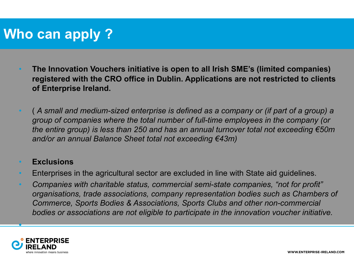# **Who can apply ?**

- **The Innovation Vouchers initiative is open to all Irish SME's (limited companies) registered with the CRO office in Dublin. Applications are not restricted to clients of Enterprise Ireland.**
- ( *A small and medium-sized enterprise is defined as a company or (if part of a group) a group of companies where the total number of full-time employees in the company (or the entire group) is less than 250 and has an annual turnover total not exceeding €50m and/or an annual Balance Sheet total not exceeding €43m)*

#### • **Exclusions**

- Enterprises in the agricultural sector are excluded in line with State aid guidelines.
- *Companies with charitable status, commercial semi-state companies, "not for profit" organisations, trade associations, company representation bodies such as Chambers of Commerce, Sports Bodies & Associations, Sports Clubs and other non-commercial bodies or associations are not eligible to participate in the innovation voucher initiative.*



•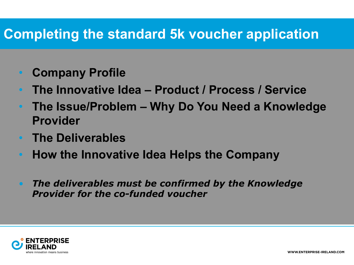## **Completing the standard 5k voucher application**

- **Company Profile**
- **The Innovative Idea – Product / Process / Service**
- **The Issue/Problem – Why Do You Need a Knowledge Provider**
- **The Deliverables**
- **How the Innovative Idea Helps the Company**
- *The deliverables must be confirmed by the Knowledge Provider for the co-funded voucher*

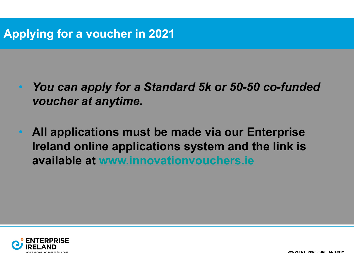## **Applying for a v[oucher in 2021](https://eur03.safelinks.protection.outlook.com/?url=http%3A%2F%2Fwww.innovationvouchers.ie&data=02%7C01%7Cinnovationvouchers%40enterprise-ireland.com%7C08a6738f2b324b18a60408d731e0df08%7Cbdd3e620ccf34ac6a8070501d2cb25c4%7C0%7C0%7C637032714215766781&sdata=gI1qBlMWOHsT9nyEmT%2Ben7U5iCMF4uY4kUYM1ihTN5E%3D&reserved=0)**

- You can apply for a Standard 5k or 50-50 co-fund *voucher at anytime.*
- **All applications must be made via our Enterprise Ireland online applications system and the link is available at www.innovationvouchers.ie**